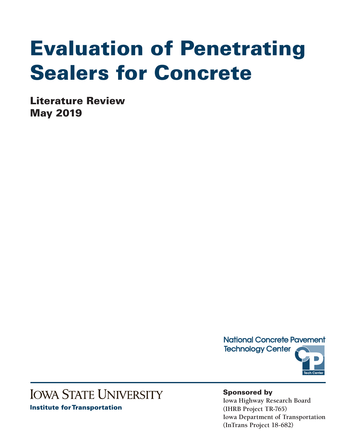# Evaluation of Penetrating Sealers for Concrete

Literature Review May 2019



# **IOWA STATE UNIVERSITY**

**Institute for Transportation** 

Sponsored by

**Iowa Highway Research Board (IHRB Project TR-765) Iowa Department of Transportation (InTrans Project 18-682)**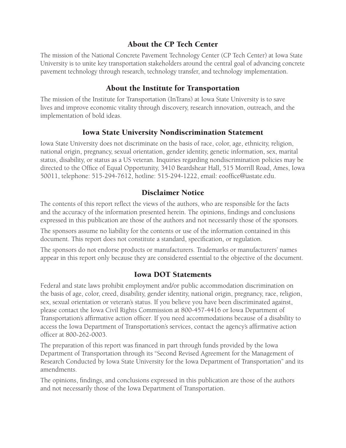# About the CP Tech Center

The mission of the National Concrete Pavement Technology Center (CP Tech Center) at Iowa State University is to unite key transportation stakeholders around the central goal of advancing concrete pavement technology through research, technology transfer, and technology implementation.

# About the Institute for Transportation

The mission of the Institute for Transportation (InTrans) at Iowa State University is to save lives and improve economic vitality through discovery, research innovation, outreach, and the implementation of bold ideas.

# Iowa State University Nondiscrimination Statement

Iowa State University does not discriminate on the basis of race, color, age, ethnicity, religion, national origin, pregnancy, sexual orientation, gender identity, genetic information, sex, marital status, disability, or status as a US veteran. Inquiries regarding nondiscrimination policies may be directed to the Office of Equal Opportunity, 3410 Beardshear Hall, 515 Morrill Road, Ames, Iowa 50011, telephone: 515-294-7612, hotline: 515-294-1222, email: eooffice@iastate.edu.

# Disclaimer Notice

The contents of this report reflect the views of the authors, who are responsible for the facts and the accuracy of the information presented herein. The opinions, findings and conclusions expressed in this publication are those of the authors and not necessarily those of the sponsors.

The sponsors assume no liability for the contents or use of the information contained in this document. This report does not constitute a standard, specification, or regulation.

The sponsors do not endorse products or manufacturers. Trademarks or manufacturers' names appear in this report only because they are considered essential to the objective of the document.

# Iowa DOT Statements

Federal and state laws prohibit employment and/or public accommodation discrimination on the basis of age, color, creed, disability, gender identity, national origin, pregnancy, race, religion, sex, sexual orientation or veteran's status. If you believe you have been discriminated against, please contact the Iowa Civil Rights Commission at 800-457-4416 or Iowa Department of Transportation's affirmative action officer. If you need accommodations because of a disability to access the Iowa Department of Transportation's services, contact the agency's affirmative action officer at 800-262-0003.

The preparation of this report was financed in part through funds provided by the Iowa Department of Transportation through its "Second Revised Agreement for the Management of Research Conducted by Iowa State University for the Iowa Department of Transportation" and its amendments.

The opinions, findings, and conclusions expressed in this publication are those of the authors and not necessarily those of the Iowa Department of Transportation.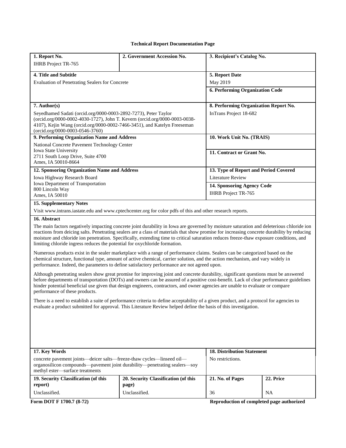#### **Technical Report Documentation Page**

| 1. Report No.<br><b>IHRB</b> Project TR-765                                                                                                                                                                                                                                                                                                                                                                                                                                                                      | 2. Government Accession No.                                                                               | 3. Recipient's Catalog No.            |           |  |
|------------------------------------------------------------------------------------------------------------------------------------------------------------------------------------------------------------------------------------------------------------------------------------------------------------------------------------------------------------------------------------------------------------------------------------------------------------------------------------------------------------------|-----------------------------------------------------------------------------------------------------------|---------------------------------------|-----------|--|
| 4. Title and Subtitle                                                                                                                                                                                                                                                                                                                                                                                                                                                                                            |                                                                                                           | 5. Report Date                        |           |  |
| Evaluation of Penetrating Sealers for Concrete                                                                                                                                                                                                                                                                                                                                                                                                                                                                   |                                                                                                           | May 2019                              |           |  |
|                                                                                                                                                                                                                                                                                                                                                                                                                                                                                                                  | 6. Performing Organization Code                                                                           |                                       |           |  |
| $7.$ Author(s)                                                                                                                                                                                                                                                                                                                                                                                                                                                                                                   |                                                                                                           | 8. Performing Organization Report No. |           |  |
| Seyedhamed Sadati (orcid.org/0000-0003-2892-7273), Peter Taylor<br>(orcid.org/0000-0002-4030-1727), John T. Kevern (orcid.org/0000-0003-0038-<br>4107), Kejin Wang (orcid.org/0000-0002-7466-3451), and Katelyn Freeseman<br>(orcid.org/0000-0003-0546-3760)                                                                                                                                                                                                                                                     |                                                                                                           | InTrans Project 18-682                |           |  |
| 9. Performing Organization Name and Address                                                                                                                                                                                                                                                                                                                                                                                                                                                                      |                                                                                                           | 10. Work Unit No. (TRAIS)             |           |  |
| National Concrete Pavement Technology Center                                                                                                                                                                                                                                                                                                                                                                                                                                                                     |                                                                                                           |                                       |           |  |
| Iowa State University<br>2711 South Loop Drive, Suite 4700<br>Ames, IA 50010-8664                                                                                                                                                                                                                                                                                                                                                                                                                                |                                                                                                           | 11. Contract or Grant No.             |           |  |
| 12. Sponsoring Organization Name and Address                                                                                                                                                                                                                                                                                                                                                                                                                                                                     |                                                                                                           | 13. Type of Report and Period Covered |           |  |
| Iowa Highway Research Board                                                                                                                                                                                                                                                                                                                                                                                                                                                                                      |                                                                                                           | <b>Literature Review</b>              |           |  |
| Iowa Department of Transportation                                                                                                                                                                                                                                                                                                                                                                                                                                                                                |                                                                                                           | 14. Sponsoring Agency Code            |           |  |
| 800 Lincoln Way<br>Ames, IA 50010                                                                                                                                                                                                                                                                                                                                                                                                                                                                                |                                                                                                           | <b>IHRB</b> Project TR-765            |           |  |
| <b>15. Supplementary Notes</b>                                                                                                                                                                                                                                                                                                                                                                                                                                                                                   |                                                                                                           |                                       |           |  |
|                                                                                                                                                                                                                                                                                                                                                                                                                                                                                                                  | Visit www.intrans.iastate.edu and www.cptechcenter.org for color pdfs of this and other research reports. |                                       |           |  |
| 16. Abstract                                                                                                                                                                                                                                                                                                                                                                                                                                                                                                     |                                                                                                           |                                       |           |  |
| The main factors negatively impacting concrete joint durability in Iowa are governed by moisture saturation and deleterious chloride ion<br>reactions from deicing salts. Penetrating sealers are a class of materials that show promise for increasing concrete durability by reducing<br>moisture and chloride ion penetration. Specifically, extending time to critical saturation reduces freeze-thaw exposure conditions, and<br>limiting chloride ingress reduces the potential for oxychloride formation. |                                                                                                           |                                       |           |  |
| Numerous products exist in the sealer marketplace with a range of performance claims. Sealers can be categorized based on the<br>chemical structure, functional type, amount of active chemical, carrier solution, and the action mechanism, and vary widely in<br>performance. Indeed, the parameters to define satisfactory performance are not agreed upon.                                                                                                                                                   |                                                                                                           |                                       |           |  |
| Although penetrating sealers show great promise for improving joint and concrete durability, significant questions must be answered<br>before departments of transportation (DOTs) and owners can be assured of a positive cost-benefit. Lack of clear performance guidelines<br>hinder potential beneficial use given that design engineers, contractors, and owner agencies are unable to evaluate or compare<br>performance of these products.                                                                |                                                                                                           |                                       |           |  |
| There is a need to establish a suite of performance criteria to define acceptability of a given product, and a protocol for agencies to<br>evaluate a product submitted for approval. This Literature Review helped define the basis of this investigation.                                                                                                                                                                                                                                                      |                                                                                                           |                                       |           |  |
|                                                                                                                                                                                                                                                                                                                                                                                                                                                                                                                  |                                                                                                           |                                       |           |  |
| 17. Key Words                                                                                                                                                                                                                                                                                                                                                                                                                                                                                                    | <b>18. Distribution Statement</b>                                                                         |                                       |           |  |
| concrete pavement joints—deicer salts—freeze-thaw cycles—linseed oil—<br>organosilicon compounds—pavement joint durability—penetrating sealers—soy<br>methyl ester-surface treatments                                                                                                                                                                                                                                                                                                                            |                                                                                                           | No restrictions.                      |           |  |
| 19. Security Classification (of this<br>report)                                                                                                                                                                                                                                                                                                                                                                                                                                                                  | 20. Security Classification (of this<br>page)                                                             | 21. No. of Pages                      | 22. Price |  |
| Unclassified.                                                                                                                                                                                                                                                                                                                                                                                                                                                                                                    | Unclassified.                                                                                             | 36                                    | NA        |  |

**Form DOT F 1700.7 (8-72) Reproduction of completed page authorized**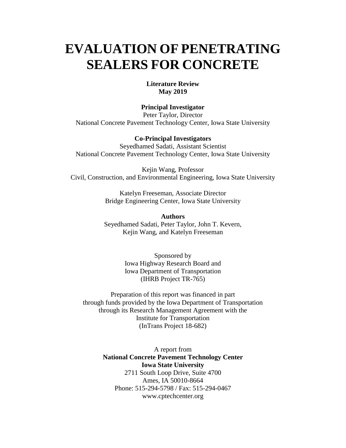# **EVALUATION OF PENETRATING SEALERS FOR CONCRETE**

#### **Literature Review May 2019**

#### **Principal Investigator**

Peter Taylor, Director National Concrete Pavement Technology Center, Iowa State University

#### **Co-Principal Investigators**

Seyedhamed Sadati, Assistant Scientist National Concrete Pavement Technology Center, Iowa State University

Kejin Wang, Professor Civil, Construction, and Environmental Engineering, Iowa State University

> Katelyn Freeseman, Associate Director Bridge Engineering Center, Iowa State University

> **Authors** Seyedhamed Sadati, Peter Taylor, John T. Kevern, Kejin Wang, and Katelyn Freeseman

> > Sponsored by Iowa Highway Research Board and Iowa Department of Transportation (IHRB Project TR-765)

Preparation of this report was financed in part through funds provided by the Iowa Department of Transportation through its Research Management Agreement with the Institute for Transportation (InTrans Project 18-682)

> A report from **National Concrete Pavement Technology Center Iowa State University** 2711 South Loop Drive, Suite 4700 Ames, IA 50010-8664 Phone: 515-294-5798 / Fax: 515-294-0467 www.cptechcenter.org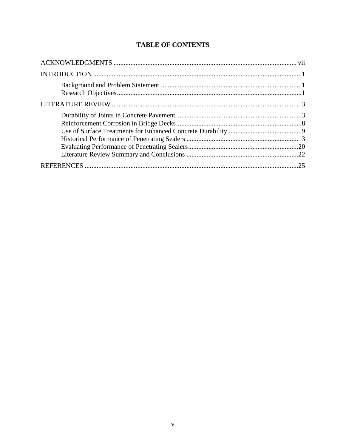# **TABLE OF CONTENTS**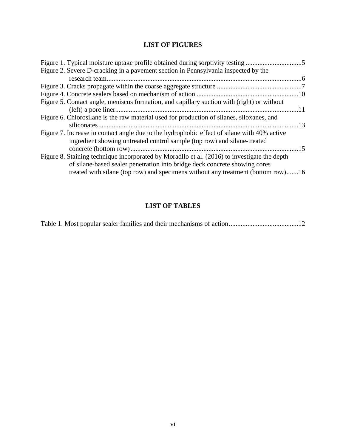# **LIST OF FIGURES**

| Figure 1. Typical moisture uptake profile obtained during sorptivity testing                 |           |
|----------------------------------------------------------------------------------------------|-----------|
| Figure 2. Severe D-cracking in a pavement section in Pennsylvania inspected by the           |           |
|                                                                                              |           |
|                                                                                              |           |
|                                                                                              |           |
| Figure 5. Contact angle, meniscus formation, and capillary suction with (right) or without   |           |
|                                                                                              |           |
| Figure 6. Chlorosilane is the raw material used for production of silanes, siloxanes, and    |           |
|                                                                                              | $\sim$ 13 |
| Figure 7. Increase in contact angle due to the hydrophobic effect of silane with 40% active  |           |
| ingredient showing untreated control sample (top row) and silane-treated                     |           |
|                                                                                              | $-15$     |
| Figure 8. Staining technique incorporated by Moradllo et al. (2016) to investigate the depth |           |
| of silane-based sealer penetration into bridge deck concrete showing cores                   |           |
| treated with silane (top row) and specimens without any treatment (bottom row)16             |           |
|                                                                                              |           |

# **LIST OF TABLES**

|--|--|--|--|--|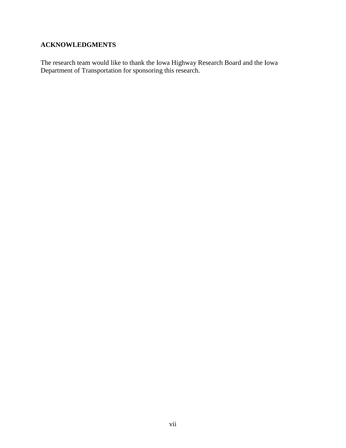# <span id="page-8-0"></span>**ACKNOWLEDGMENTS**

The research team would like to thank the Iowa Highway Research Board and the Iowa Department of Transportation for sponsoring this research.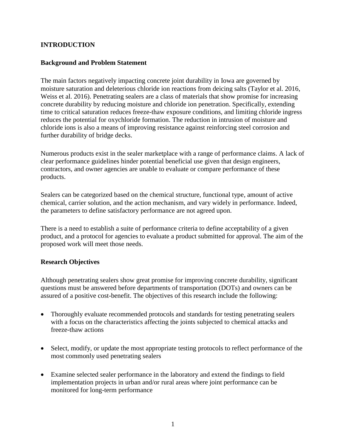# <span id="page-10-0"></span>**INTRODUCTION**

#### <span id="page-10-1"></span>**Background and Problem Statement**

The main factors negatively impacting concrete joint durability in Iowa are governed by moisture saturation and deleterious chloride ion reactions from deicing salts (Taylor et al. 2016, Weiss et al. 2016). Penetrating sealers are a class of materials that show promise for increasing concrete durability by reducing moisture and chloride ion penetration. Specifically, extending time to critical saturation reduces freeze-thaw exposure conditions, and limiting chloride ingress reduces the potential for oxychloride formation. The reduction in intrusion of moisture and chloride ions is also a means of improving resistance against reinforcing steel corrosion and further durability of bridge decks.

Numerous products exist in the sealer marketplace with a range of performance claims. A lack of clear performance guidelines hinder potential beneficial use given that design engineers, contractors, and owner agencies are unable to evaluate or compare performance of these products.

Sealers can be categorized based on the chemical structure, functional type, amount of active chemical, carrier solution, and the action mechanism, and vary widely in performance. Indeed, the parameters to define satisfactory performance are not agreed upon.

There is a need to establish a suite of performance criteria to define acceptability of a given product, and a protocol for agencies to evaluate a product submitted for approval. The aim of the proposed work will meet those needs.

#### <span id="page-10-2"></span>**Research Objectives**

Although penetrating sealers show great promise for improving concrete durability, significant questions must be answered before departments of transportation (DOTs) and owners can be assured of a positive cost-benefit. The objectives of this research include the following:

- Thoroughly evaluate recommended protocols and standards for testing penetrating sealers with a focus on the characteristics affecting the joints subjected to chemical attacks and freeze-thaw actions
- Select, modify, or update the most appropriate testing protocols to reflect performance of the most commonly used penetrating sealers
- Examine selected sealer performance in the laboratory and extend the findings to field implementation projects in urban and/or rural areas where joint performance can be monitored for long-term performance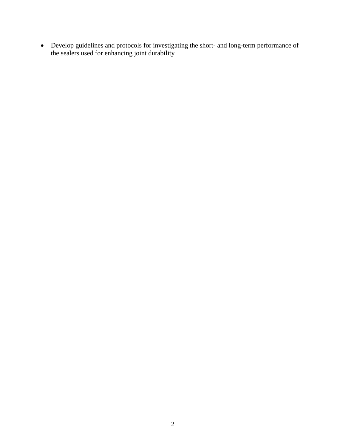• Develop guidelines and protocols for investigating the short- and long-term performance of the sealers used for enhancing joint durability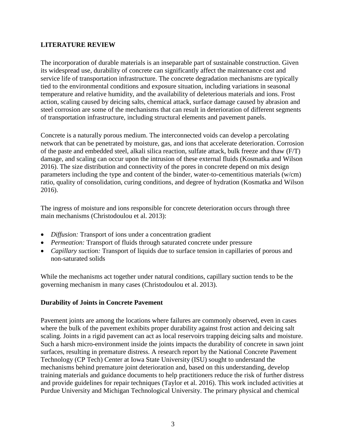#### <span id="page-12-0"></span>**LITERATURE REVIEW**

The incorporation of durable materials is an inseparable part of sustainable construction. Given its widespread use, durability of concrete can significantly affect the maintenance cost and service life of transportation infrastructure. The concrete degradation mechanisms are typically tied to the environmental conditions and exposure situation, including variations in seasonal temperature and relative humidity, and the availability of deleterious materials and ions. Frost action, scaling caused by deicing salts, chemical attack, surface damage caused by abrasion and steel corrosion are some of the mechanisms that can result in deterioration of different segments of transportation infrastructure, including structural elements and pavement panels.

Concrete is a naturally porous medium. The interconnected voids can develop a percolating network that can be penetrated by moisture, gas, and ions that accelerate deterioration. Corrosion of the paste and embedded steel, alkali silica reaction, sulfate attack, bulk freeze and thaw (F/T) damage, and scaling can occur upon the intrusion of these external fluids (Kosmatka and Wilson 2016). The size distribution and connectivity of the pores in concrete depend on mix design parameters including the type and content of the binder, water-to-cementitious materials (w/cm) ratio, quality of consolidation, curing conditions, and degree of hydration (Kosmatka and Wilson 2016).

The ingress of moisture and ions responsible for concrete deterioration occurs through three main mechanisms (Christodoulou et al. 2013):

- *Diffusion:* Transport of ions under a concentration gradient
- *Permeation:* Transport of fluids through saturated concrete under pressure
- *Capillary suction:* Transport of liquids due to surface tension in capillaries of porous and non-saturated solids

While the mechanisms act together under natural conditions, capillary suction tends to be the governing mechanism in many cases (Christodoulou et al. 2013).

# <span id="page-12-1"></span>**Durability of Joints in Concrete Pavement**

Pavement joints are among the locations where failures are commonly observed, even in cases where the bulk of the pavement exhibits proper durability against frost action and deicing salt scaling. Joints in a rigid pavement can act as local reservoirs trapping deicing salts and moisture. Such a harsh micro-environment inside the joints impacts the durability of concrete in sawn joint surfaces, resulting in premature distress. A research report by the National Concrete Pavement Technology (CP Tech) Center at Iowa State University (ISU) sought to understand the mechanisms behind premature joint deterioration and, based on this understanding, develop training materials and guidance documents to help practitioners reduce the risk of further distress and provide guidelines for repair techniques (Taylor et al. 2016). This work included activities at Purdue University and Michigan Technological University. The primary physical and chemical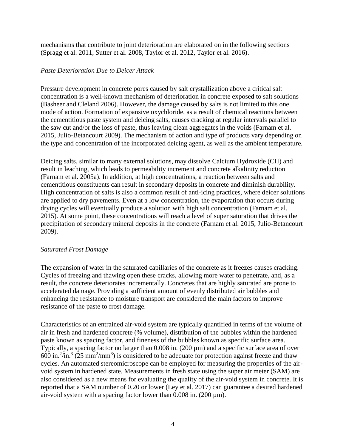mechanisms that contribute to joint deterioration are elaborated on in the following sections (Spragg et al. 2011, Sutter et al. 2008, Taylor et al. 2012, Taylor et al. 2016).

#### *Paste Deterioration Due to Deicer Attack*

Pressure development in concrete pores caused by salt crystallization above a critical salt concentration is a well-known mechanism of deterioration in concrete exposed to salt solutions (Basheer and Cleland 2006). However, the damage caused by salts is not limited to this one mode of action. Formation of expansive oxychloride, as a result of chemical reactions between the cementitious paste system and deicing salts, causes cracking at regular intervals parallel to the saw cut and/or the loss of paste, thus leaving clean aggregates in the voids (Farnam et al. 2015, Julio-Betancourt 2009). The mechanism of action and type of products vary depending on the type and concentration of the incorporated deicing agent, as well as the ambient temperature.

Deicing salts, similar to many external solutions, may dissolve Calcium Hydroxide (CH) and result in leaching, which leads to permeability increment and concrete alkalinity reduction (Farnam et al. 2005a). In addition, at high concentrations, a reaction between salts and cementitious constituents can result in secondary deposits in concrete and diminish durability. High concentration of salts is also a common result of anti-icing practices, where deicer solutions are applied to dry pavements. Even at a low concentration, the evaporation that occurs during drying cycles will eventually produce a solution with high salt concentration (Farnam et al. 2015). At some point, these concentrations will reach a level of super saturation that drives the precipitation of secondary mineral deposits in the concrete (Farnam et al. 2015, Julio-Betancourt 2009).

# *Saturated Frost Damage*

The expansion of water in the saturated capillaries of the concrete as it freezes causes cracking. Cycles of freezing and thawing open these cracks, allowing more water to penetrate, and, as a result, the concrete deteriorates incrementally. Concretes that are highly saturated are prone to accelerated damage. Providing a sufficient amount of evenly distributed air bubbles and enhancing the resistance to moisture transport are considered the main factors to improve resistance of the paste to frost damage.

Characteristics of an entrained air-void system are typically quantified in terms of the volume of air in fresh and hardened concrete (% volume), distribution of the bubbles within the hardened paste known as spacing factor, and fineness of the bubbles known as specific surface area. Typically, a spacing factor no larger than 0.008 in. (200 µm) and a specific surface area of over 600 in.<sup>2</sup>/in.<sup>3</sup> (25 mm<sup>2</sup>/mm<sup>3</sup>) is considered to be adequate for protection against freeze and thaw cycles. An automated stereomicroscope can be employed for measuring the properties of the airvoid system in hardened state. Measurements in fresh state using the super air meter (SAM) are also considered as a new means for evaluating the quality of the air-void system in concrete. It is reported that a SAM number of 0.20 or lower (Ley et al. 2017) can guarantee a desired hardened air-void system with a spacing factor lower than  $0.008$  in.  $(200 \,\mu m)$ .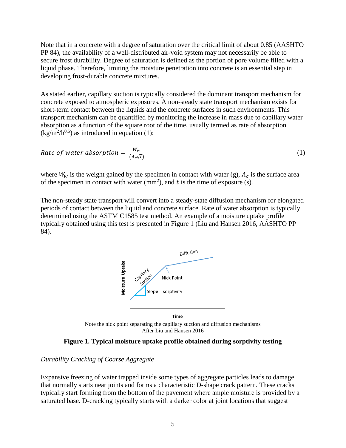Note that in a concrete with a degree of saturation over the critical limit of about 0.85 (AASHTO PP 84), the availability of a well-distributed air-void system may not necessarily be able to secure frost durability. Degree of saturation is defined as the portion of pore volume filled with a liquid phase. Therefore, limiting the moisture penetration into concrete is an essential step in developing frost-durable concrete mixtures.

As stated earlier, capillary suction is typically considered the dominant transport mechanism for concrete exposed to atmospheric exposures. A non-steady state transport mechanism exists for short-term contact between the liquids and the concrete surfaces in such environments. This transport mechanism can be quantified by monitoring the increase in mass due to capillary water absorption as a function of the square root of the time, usually termed as rate of absorption  $\frac{\text{kg}}{m^2/h^{0.5}}$  as introduced in equation (1):

Rate of water absorption = 
$$
\frac{W_w}{(A_c\sqrt{t})}
$$
 (1)

where  $W_w$  is the weight gained by the specimen in contact with water (g),  $A_c$  is the surface area of the specimen in contact with water  $(mm<sup>2</sup>)$ , and t is the time of exposure (s).

The non-steady state transport will convert into a steady-state diffusion mechanism for elongated periods of contact between the liquid and concrete surface. Rate of water absorption is typically determined using the ASTM C1585 test method. An example of a moisture uptake profile typically obtained using this test is presented in [Figure 1](#page-14-0) (Liu and Hansen 2016, AASHTO PP 84).



Note the nick point separating the capillary suction and diffusion mechanisms After Liu and Hansen 2016

**Figure 1. Typical moisture uptake profile obtained during sorptivity testing**

#### <span id="page-14-0"></span>*Durability Cracking of Coarse Aggregate*

Expansive freezing of water trapped inside some types of aggregate particles leads to damage that normally starts near joints and forms a characteristic D-shape crack pattern. These cracks typically start forming from the bottom of the pavement where ample moisture is provided by a saturated base. D-cracking typically starts with a darker color at joint locations that suggest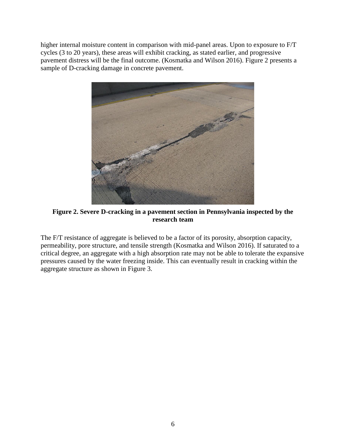higher internal moisture content in comparison with mid-panel areas. Upon to exposure to F/T cycles (3 to 20 years), these areas will exhibit cracking, as stated earlier, and progressive pavement distress will be the final outcome. (Kosmatka and Wilson 2016). [Figure 2](#page-15-0) presents a sample of D-cracking damage in concrete pavement.



**Figure 2. Severe D-cracking in a pavement section in Pennsylvania inspected by the research team** 

<span id="page-15-0"></span>The F/T resistance of aggregate is believed to be a factor of its porosity, absorption capacity, permeability, pore structure, and tensile strength (Kosmatka and Wilson 2016). If saturated to a critical degree, an aggregate with a high absorption rate may not be able to tolerate the expansive pressures caused by the water freezing inside. This can eventually result in cracking within the aggregate structure as shown in [Figure 3.](#page-16-0)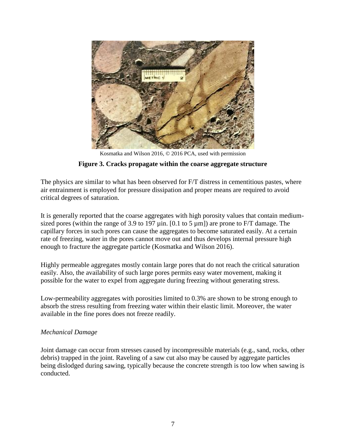

Kosmatka and Wilson 2016, © 2016 PCA, used with permission

#### **Figure 3. Cracks propagate within the coarse aggregate structure**

<span id="page-16-0"></span>The physics are similar to what has been observed for F/T distress in cementitious pastes, where air entrainment is employed for pressure dissipation and proper means are required to avoid critical degrees of saturation.

It is generally reported that the coarse aggregates with high porosity values that contain mediumsized pores (within the range of 3.9 to 197  $\mu$ in. [0.1 to 5  $\mu$ m]) are prone to F/T damage. The capillary forces in such pores can cause the aggregates to become saturated easily. At a certain rate of freezing, water in the pores cannot move out and thus develops internal pressure high enough to fracture the aggregate particle (Kosmatka and Wilson 2016).

Highly permeable aggregates mostly contain large pores that do not reach the critical saturation easily. Also, the availability of such large pores permits easy water movement, making it possible for the water to expel from aggregate during freezing without generating stress.

Low-permeability aggregates with porosities limited to 0.3% are shown to be strong enough to absorb the stress resulting from freezing water within their elastic limit. Moreover, the water available in the fine pores does not freeze readily.

#### *Mechanical Damage*

Joint damage can occur from stresses caused by incompressible materials (e.g., sand, rocks, other debris) trapped in the joint. Raveling of a saw cut also may be caused by aggregate particles being dislodged during sawing, typically because the concrete strength is too low when sawing is conducted.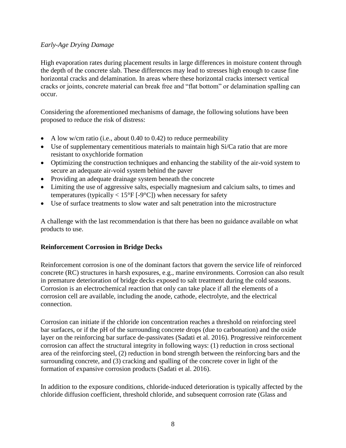# *Early-Age Drying Damage*

High evaporation rates during placement results in large differences in moisture content through the depth of the concrete slab. These differences may lead to stresses high enough to cause fine horizontal cracks and delamination. In areas where these horizontal cracks intersect vertical cracks or joints, concrete material can break free and "flat bottom" or delamination spalling can occur.

Considering the aforementioned mechanisms of damage, the following solutions have been proposed to reduce the risk of distress:

- A low w/cm ratio (i.e., about 0.40 to 0.42) to reduce permeability
- Use of supplementary cementitious materials to maintain high Si/Ca ratio that are more resistant to oxychloride formation
- Optimizing the construction techniques and enhancing the stability of the air-void system to secure an adequate air-void system behind the paver
- Providing an adequate drainage system beneath the concrete
- Limiting the use of aggressive salts, especially magnesium and calcium salts, to times and temperatures (typically  $< 15^{\circ}$ F [-9°C]) when necessary for safety
- Use of surface treatments to slow water and salt penetration into the microstructure

A challenge with the last recommendation is that there has been no guidance available on what products to use.

# <span id="page-17-0"></span>**Reinforcement Corrosion in Bridge Decks**

Reinforcement corrosion is one of the dominant factors that govern the service life of reinforced concrete (RC) structures in harsh exposures, e.g., marine environments. Corrosion can also result in premature deterioration of bridge decks exposed to salt treatment during the cold seasons. Corrosion is an electrochemical reaction that only can take place if all the elements of a corrosion cell are available, including the anode, cathode, electrolyte, and the electrical connection.

Corrosion can initiate if the chloride ion concentration reaches a threshold on reinforcing steel bar surfaces, or if the pH of the surrounding concrete drops (due to carbonation) and the oxide layer on the reinforcing bar surface de-passivates (Sadati et al. 2016). Progressive reinforcement corrosion can affect the structural integrity in following ways: (1) reduction in cross sectional area of the reinforcing steel, (2) reduction in bond strength between the reinforcing bars and the surrounding concrete, and (3) cracking and spalling of the concrete cover in light of the formation of expansive corrosion products (Sadati et al. 2016).

In addition to the exposure conditions, chloride-induced deterioration is typically affected by the chloride diffusion coefficient, threshold chloride, and subsequent corrosion rate (Glass and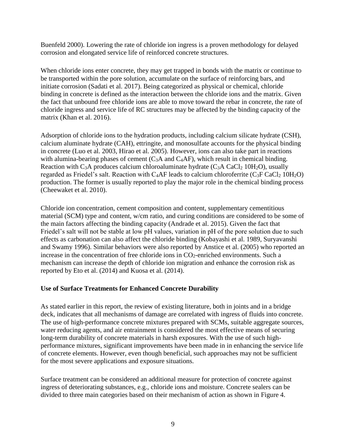Buenfeld 2000). Lowering the rate of chloride ion ingress is a proven methodology for delayed corrosion and elongated service life of reinforced concrete structures.

When chloride ions enter concrete, they may get trapped in bonds with the matrix or continue to be transported within the pore solution, accumulate on the surface of reinforcing bars, and initiate corrosion (Sadati et al. 2017). Being categorized as physical or chemical, chloride binding in concrete is defined as the interaction between the chloride ions and the matrix. Given the fact that unbound free chloride ions are able to move toward the rebar in concrete, the rate of chloride ingress and service life of RC structures may be affected by the binding capacity of the matrix (Khan et al. 2016).

Adsorption of chloride ions to the hydration products, including calcium silicate hydrate (CSH), calcium aluminate hydrate (CAH), ettringite, and monosulfate accounts for the physical binding in concrete (Luo et al. 2003, Hirao et al. 2005). However, ions can also take part in reactions with alumina-bearing phases of cement  $(C_3A$  and  $C_4AF$ ), which result in chemical binding. Reaction with C<sub>3</sub>A produces calcium chloroaluminate hydrate  $(C_3A\ CaC_2\ 10H_2O)$ , usually regarded as Friedel's salt. Reaction with C<sub>4</sub>AF leads to calcium chloroferrite (C<sub>3</sub>F CaCl<sub>2</sub> 10H<sub>2</sub>O) production. The former is usually reported to play the major role in the chemical binding process (Cheewaket et al. 2010).

Chloride ion concentration, cement composition and content, supplementary cementitious material (SCM) type and content, w/cm ratio, and curing conditions are considered to be some of the main factors affecting the binding capacity (Andrade et al. 2015). Given the fact that Friedel's salt will not be stable at low pH values, variation in pH of the pore solution due to such effects as carbonation can also affect the chloride binding (Kobayashi et al. 1989, Suryavanshi and Swamy 1996). Similar behaviors were also reported by Anstice et al. (2005) who reported an increase in the concentration of free chloride ions in  $CO_2$ -enriched environments. Such a mechanism can increase the depth of chloride ion migration and enhance the corrosion risk as reported by Eto et al. (2014) and Kuosa et al. (2014).

# <span id="page-18-0"></span>**Use of Surface Treatments for Enhanced Concrete Durability**

As stated earlier in this report, the review of existing literature, both in joints and in a bridge deck, indicates that all mechanisms of damage are correlated with ingress of fluids into concrete. The use of high-performance concrete mixtures prepared with SCMs, suitable aggregate sources, water reducing agents, and air entrainment is considered the most effective means of securing long-term durability of concrete materials in harsh exposures. With the use of such highperformance mixtures, significant improvements have been made in in enhancing the service life of concrete elements. However, even though beneficial, such approaches may not be sufficient for the most severe applications and exposure situations.

Surface treatment can be considered an additional measure for protection of concrete against ingress of deteriorating substances, e.g., chloride ions and moisture. Concrete sealers can be divided to three main categories based on their mechanism of action as shown in [Figure 4.](#page-19-0)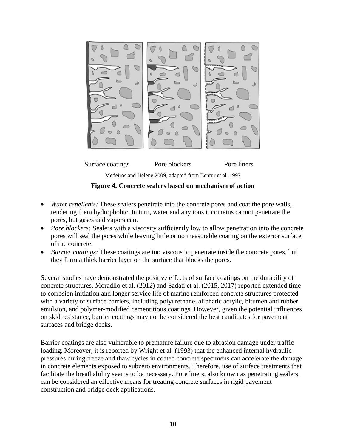



**Figure 4. Concrete sealers based on mechanism of action**

- <span id="page-19-0"></span>• *Water repellents:* These sealers penetrate into the concrete pores and coat the pore walls, rendering them hydrophobic. In turn, water and any ions it contains cannot penetrate the pores, but gases and vapors can.
- *Pore blockers:* Sealers with a viscosity sufficiently low to allow penetration into the concrete pores will seal the pores while leaving little or no measurable coating on the exterior surface of the concrete.
- *Barrier coatings:* These coatings are too viscous to penetrate inside the concrete pores, but they form a thick barrier layer on the surface that blocks the pores.

Several studies have demonstrated the positive effects of surface coatings on the durability of concrete structures. Moradllo et al. (2012) and Sadati et al. (2015, 2017) reported extended time to corrosion initiation and longer service life of marine reinforced concrete structures protected with a variety of surface barriers, including polyurethane, aliphatic acrylic, bitumen and rubber emulsion, and polymer-modified cementitious coatings. However, given the potential influences on skid resistance, barrier coatings may not be considered the best candidates for pavement surfaces and bridge decks.

Barrier coatings are also vulnerable to premature failure due to abrasion damage under traffic loading. Moreover, it is reported by Wright et al. (1993) that the enhanced internal hydraulic pressures during freeze and thaw cycles in coated concrete specimens can accelerate the damage in concrete elements exposed to subzero environments. Therefore, use of surface treatments that facilitate the breathability seems to be necessary. Pore liners, also known as penetrating sealers, can be considered an effective means for treating concrete surfaces in rigid pavement construction and bridge deck applications.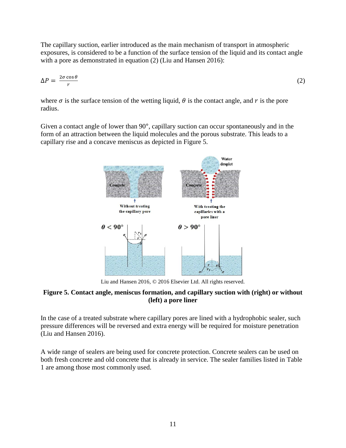The capillary suction, earlier introduced as the main mechanism of transport in atmospheric exposures, is considered to be a function of the surface tension of the liquid and its contact angle with a pore as demonstrated in equation (2) (Liu and Hansen 2016):

$$
\Delta P = \frac{2\sigma \cos \theta}{r} \tag{2}
$$

where  $\sigma$  is the surface tension of the wetting liquid,  $\theta$  is the contact angle, and  $r$  is the pore radius.

Given a contact angle of lower than 90°, capillary suction can occur spontaneously and in the form of an attraction between the liquid molecules and the porous substrate. This leads to a capillary rise and a concave meniscus as depicted in [Figure 5.](#page-20-0)



Liu and Hansen 2016, © 2016 Elsevier Ltd. All rights reserved.

# <span id="page-20-0"></span>**Figure 5. Contact angle, meniscus formation, and capillary suction with (right) or without (left) a pore liner**

In the case of a treated substrate where capillary pores are lined with a hydrophobic sealer, such pressure differences will be reversed and extra energy will be required for moisture penetration (Liu and Hansen 2016).

A wide range of sealers are being used for concrete protection. Concrete sealers can be used on both fresh concrete and old concrete that is already in service. The sealer families listed in [Table](#page-21-0)  [1](#page-21-0) are among those most commonly used.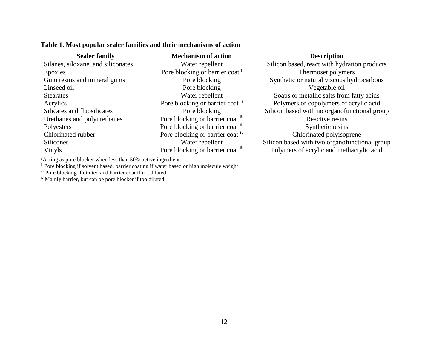| <b>Sealer family</b>               | <b>Mechanism of action</b>                 | <b>Description</b>                            |
|------------------------------------|--------------------------------------------|-----------------------------------------------|
| Silanes, siloxane, and siliconates | Water repellent                            | Silicon based, react with hydration products  |
| Epoxies                            | Pore blocking or barrier coat <sup>i</sup> | Thermoset polymers                            |
| Gum resins and mineral gums        | Pore blocking                              | Synthetic or natural viscous hydrocarbons     |
| Linseed oil                        | Pore blocking                              | Vegetable oil                                 |
| <b>Stearates</b>                   | Water repellent                            | Soaps or metallic salts from fatty acids      |
| Acrylics                           | Pore blocking or barrier coat if           | Polymers or copolymers of acrylic acid        |
| Silicates and fluosilicates        | Pore blocking                              | Silicon based with no organofunctional group  |
| Urethanes and polyurethanes        | Pore blocking or barrier coat iii          | Reactive resins                               |
| Polyesters                         | Pore blocking or barrier coat iii          | Synthetic resins                              |
| Chlorinated rubber                 | Pore blocking or barrier coat iv           | Chlorinated polyisoprene                      |
| <b>Silicones</b>                   | Water repellent                            | Silicon based with two organofunctional group |
| Vinyls                             | Pore blocking or barrier coat iii          | Polymers of acrylic and methacrylic acid      |

#### **Table 1. Most popular sealer families and their mechanisms of action**

<span id="page-21-0"></span><sup>i</sup> Acting as pore blocker when less than 50% active ingredient

ii Pore blocking if solvent based, barrier coating if water based or high molecule weight

iii Pore blocking if diluted and barrier coat if not diluted

<sup>iv</sup> Mainly barrier, but can be pore blocker if too diluted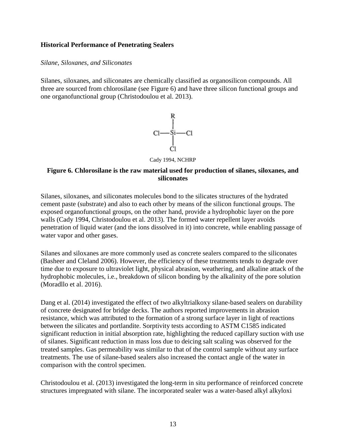#### <span id="page-22-0"></span>**Historical Performance of Penetrating Sealers**

#### *Silane, Siloxanes, and Siliconates*

Silanes, siloxanes, and siliconates are chemically classified as organosilicon compounds. All three are sourced from chlorosilane (see [Figure 6\)](#page-22-1) and have three silicon functional groups and one organofunctional group (Christodoulou et al. 2013).



Cady 1994, NCHRP

#### <span id="page-22-1"></span>**Figure 6. Chlorosilane is the raw material used for production of silanes, siloxanes, and siliconates**

Silanes, siloxanes, and siliconates molecules bond to the silicates structures of the hydrated cement paste (substrate) and also to each other by means of the silicon functional groups. The exposed organofunctional groups, on the other hand, provide a hydrophobic layer on the pore walls (Cady 1994, Christodoulou et al. 2013). The formed water repellent layer avoids penetration of liquid water (and the ions dissolved in it) into concrete, while enabling passage of water vapor and other gases.

Silanes and siloxanes are more commonly used as concrete sealers compared to the siliconates (Basheer and Cleland 2006). However, the efficiency of these treatments tends to degrade over time due to exposure to ultraviolet light, physical abrasion, weathering, and alkaline attack of the hydrophobic molecules, i.e., breakdown of silicon bonding by the alkalinity of the pore solution (Moradllo et al. 2016).

Dang et al. (2014) investigated the effect of two alkyltrialkoxy silane-based sealers on durability of concrete designated for bridge decks. The authors reported improvements in abrasion resistance, which was attributed to the formation of a strong surface layer in light of reactions between the silicates and portlandite. Sorptivity tests according to ASTM C1585 indicated significant reduction in initial absorption rate, highlighting the reduced capillary suction with use of silanes. Significant reduction in mass loss due to deicing salt scaling was observed for the treated samples. Gas permeability was similar to that of the control sample without any surface treatments. The use of silane-based sealers also increased the contact angle of the water in comparison with the control specimen.

Christodoulou et al. (2013) investigated the long-term in situ performance of reinforced concrete structures impregnated with silane. The incorporated sealer was a water-based alkyl alkyloxi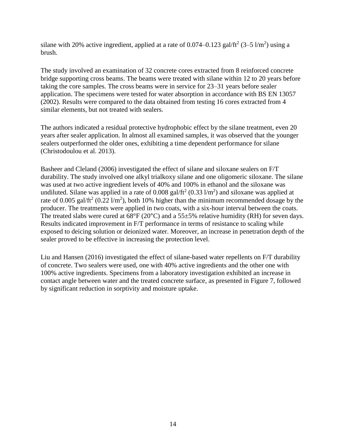silane with 20% active ingredient, applied at a rate of  $0.074 - 0.123$  gal/ft<sup>2</sup> (3–5 l/m<sup>2</sup>) using a brush.

The study involved an examination of 32 concrete cores extracted from 8 reinforced concrete bridge supporting cross beams. The beams were treated with silane within 12 to 20 years before taking the core samples. The cross beams were in service for 23–31 years before sealer application. The specimens were tested for water absorption in accordance with BS EN 13057 (2002). Results were compared to the data obtained from testing 16 cores extracted from 4 similar elements, but not treated with sealers.

The authors indicated a residual protective hydrophobic effect by the silane treatment, even 20 years after sealer application. In almost all examined samples, it was observed that the younger sealers outperformed the older ones, exhibiting a time dependent performance for silane (Christodoulou et al. 2013).

Basheer and Cleland (2006) investigated the effect of silane and siloxane sealers on F/T durability. The study involved one alkyl trialkoxy silane and one oligomeric siloxane. The silane was used at two active ingredient levels of 40% and 100% in ethanol and the siloxane was undiluted. Silane was applied in a rate of  $0.008$  gal/ft<sup>2</sup> (0.33 l/m<sup>2</sup>) and siloxane was applied at rate of 0.005 gal/ft<sup>2</sup> (0.22 l/m<sup>2</sup>), both 10% higher than the minimum recommended dosage by the producer. The treatments were applied in two coats, with a six-hour interval between the coats. The treated slabs were cured at  $68^{\circ}F(20^{\circ}C)$  and a  $55\pm5\%$  relative humidity (RH) for seven days. Results indicated improvement in F/T performance in terms of resistance to scaling while exposed to deicing solution or deionized water. Moreover, an increase in penetration depth of the sealer proved to be effective in increasing the protection level.

Liu and Hansen (2016) investigated the effect of silane-based water repellents on F/T durability of concrete. Two sealers were used, one with 40% active ingredients and the other one with 100% active ingredients. Specimens from a laboratory investigation exhibited an increase in contact angle between water and the treated concrete surface, as presented in [Figure 7,](#page-24-0) followed by significant reduction in sorptivity and moisture uptake.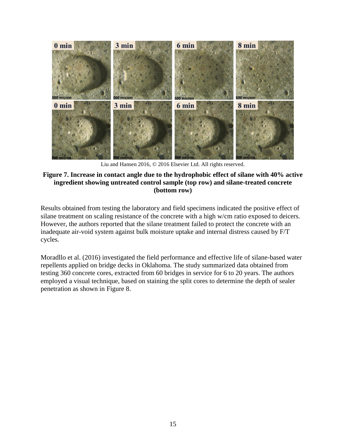

Liu and Hansen 2016, © 2016 Elsevier Ltd. All rights reserved.

#### <span id="page-24-0"></span>**Figure 7. Increase in contact angle due to the hydrophobic effect of silane with 40% active ingredient showing untreated control sample (top row) and silane-treated concrete (bottom row)**

Results obtained from testing the laboratory and field specimens indicated the positive effect of silane treatment on scaling resistance of the concrete with a high w/cm ratio exposed to deicers. However, the authors reported that the silane treatment failed to protect the concrete with an inadequate air-void system against bulk moisture uptake and internal distress caused by F/T cycles.

Moradllo et al. (2016) investigated the field performance and effective life of silane-based water repellents applied on bridge decks in Oklahoma. The study summarized data obtained from testing 360 concrete cores, extracted from 60 bridges in service for 6 to 20 years. The authors employed a visual technique, based on staining the split cores to determine the depth of sealer penetration as shown in [Figure 8.](#page-25-0)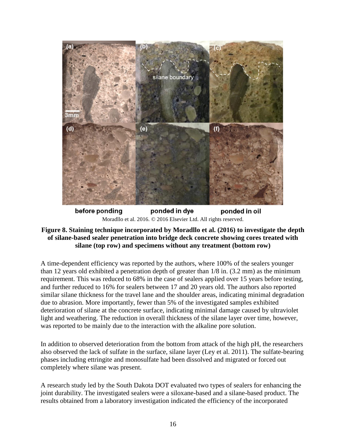

before ponding ponded in dye ponded in oil Moradllo et al. 2016. © 2016 Elsevier Ltd. All rights reserved.

# <span id="page-25-0"></span>**Figure 8. Staining technique incorporated by Moradllo et al. (2016) to investigate the depth of silane-based sealer penetration into bridge deck concrete showing cores treated with silane (top row) and specimens without any treatment (bottom row)**

A time-dependent efficiency was reported by the authors, where 100% of the sealers younger than 12 years old exhibited a penetration depth of greater than 1/8 in. (3.2 mm) as the minimum requirement. This was reduced to 68% in the case of sealers applied over 15 years before testing, and further reduced to 16% for sealers between 17 and 20 years old. The authors also reported similar silane thickness for the travel lane and the shoulder areas, indicating minimal degradation due to abrasion. More importantly, fewer than 5% of the investigated samples exhibited deterioration of silane at the concrete surface, indicating minimal damage caused by ultraviolet light and weathering. The reduction in overall thickness of the silane layer over time, however, was reported to be mainly due to the interaction with the alkaline pore solution.

In addition to observed deterioration from the bottom from attack of the high pH, the researchers also observed the lack of sulfate in the surface, silane layer (Ley et al. 2011). The sulfate-bearing phases including ettringite and monosulfate had been dissolved and migrated or forced out completely where silane was present.

A research study led by the South Dakota DOT evaluated two types of sealers for enhancing the joint durability. The investigated sealers were a siloxane-based and a silane-based product. The results obtained from a laboratory investigation indicated the efficiency of the incorporated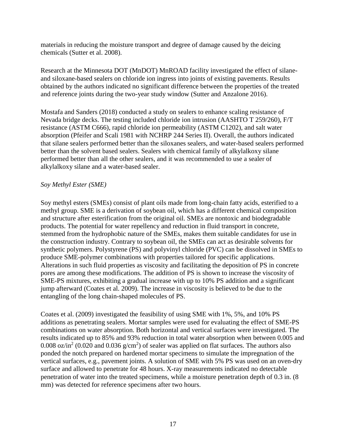materials in reducing the moisture transport and degree of damage caused by the deicing chemicals (Sutter et al. 2008).

Research at the Minnesota DOT (MnDOT) MnROAD facility investigated the effect of silaneand siloxane-based sealers on chloride ion ingress into joints of existing pavements. Results obtained by the authors indicated no significant difference between the properties of the treated and reference joints during the two-year study window (Sutter and Anzalone 2016).

Mostafa and Sanders (2018) conducted a study on sealers to enhance scaling resistance of Nevada bridge decks. The testing included chloride ion intrusion (AASHTO T 259/260), F/T resistance (ASTM C666), rapid chloride ion permeability (ASTM C1202), and salt water absorption (Pfeifer and Scali 1981 with NCHRP 244 Series II). Overall, the authors indicated that silane sealers performed better than the siloxanes sealers, and water-based sealers performed better than the solvent based sealers. Sealers with chemical family of alkylalkoxy silane performed better than all the other sealers, and it was recommended to use a sealer of alkylalkoxy silane and a water-based sealer.

# *Soy Methyl Ester (SME)*

Soy methyl esters (SMEs) consist of plant oils made from long-chain fatty acids, esterified to a methyl group. SME is a derivation of soybean oil, which has a different chemical composition and structure after esterification from the original oil. SMEs are nontoxic and biodegradable products. The potential for water repellency and reduction in fluid transport in concrete, stemmed from the hydrophobic nature of the SMEs, makes them suitable candidates for use in the construction industry. Contrary to soybean oil, the SMEs can act as desirable solvents for synthetic polymers. Polystyrene (PS) and polyvinyl chloride (PVC) can be dissolved in SMEs to produce SME-polymer combinations with properties tailored for specific applications. Alterations in such fluid properties as viscosity and facilitating the deposition of PS in concrete pores are among these modifications. The addition of PS is shown to increase the viscosity of SME-PS mixtures, exhibiting a gradual increase with up to 10% PS addition and a significant jump afterward (Coates et al. 2009). The increase in viscosity is believed to be due to the entangling of the long chain-shaped molecules of PS.

Coates et al. (2009) investigated the feasibility of using SME with 1%, 5%, and 10% PS additions as penetrating sealers. Mortar samples were used for evaluating the effect of SME-PS combinations on water absorption. Both horizontal and vertical surfaces were investigated. The results indicated up to 85% and 93% reduction in total water absorption when between 0.005 and 0.008 oz/in<sup>2</sup> (0.020 and 0.036  $g/cm<sup>2</sup>$ ) of sealer was applied on flat surfaces. The authors also ponded the notch prepared on hardened mortar specimens to simulate the impregnation of the vertical surfaces, e.g., pavement joints. A solution of SME with 5% PS was used on an oven-dry surface and allowed to penetrate for 48 hours. X-ray measurements indicated no detectable penetration of water into the treated specimens, while a moisture penetration depth of 0.3 in. (8 mm) was detected for reference specimens after two hours.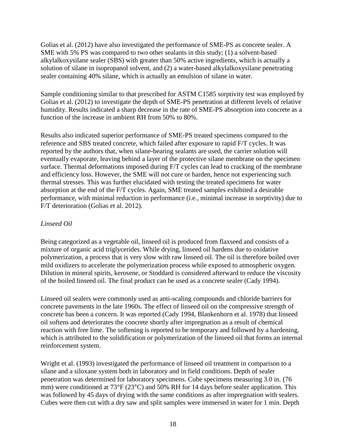Golias et al. (2012) have also investigated the performance of SME-PS as concrete sealer. A SME with 5% PS was compared to two other sealants in this study; (1) a solvent-based alkylalkoxysilane sealer (SBS) with greater than 50% active ingredients, which is actually a solution of silane in isopropanol solvent, and (2) a water-based alkylalkoxysilane penetrating sealer containing 40% silane, which is actually an emulsion of silane in water.

Sample conditioning similar to that prescribed for ASTM C1585 sorptivity test was employed by Golias et al. (2012) to investigate the depth of SME-PS penetration at different levels of relative humidity. Results indicated a sharp decrease in the rate of SME-PS absorption into concrete as a function of the increase in ambient RH from 50% to 80%.

Results also indicated superior performance of SME-PS treated specimens compared to the reference and SBS treated concrete, which failed after exposure to rapid F/T cycles. It was reported by the authors that, when silane-bearing sealants are used, the carrier solution will eventually evaporate, leaving behind a layer of the protective silane membrane on the specimen surface. Thermal deformations imposed during F/T cycles can lead to cracking of the membrane and efficiency loss. However, the SME will not cure or harden, hence not experiencing such thermal stresses. This was further elucidated with testing the treated specimens for water absorption at the end of the F/T cycles. Again, SME treated samples exhibited a desirable performance, with minimal reduction in performance (i.e., minimal increase in sorptivity) due to F/T deterioration (Golias et al. 2012).

# *Linseed Oil*

Being categorized as a vegetable oil, linseed oil is produced from flaxseed and consists of a mixture of organic acid triglycerides. While drying, linseed oil hardens due to oxidative polymerization, a process that is very slow with raw linseed oil. The oil is therefore boiled over mild oxidizers to accelerate the polymerization process while exposed to atmospheric oxygen. Dilution in mineral spirits, kerosene, or Stoddard is considered afterward to reduce the viscosity of the boiled linseed oil. The final product can be used as a concrete sealer (Cady 1994).

Linseed oil sealers were commonly used as anti-scaling compounds and chloride barriers for concrete pavements in the late 1960s. The effect of linseed oil on the compressive strength of concrete has been a concern. It was reported (Cady 1994, Blankenhorn et al. 1978) that linseed oil softens and deteriorates the concrete shortly after impregnation as a result of chemical reaction with free lime. The softening is reported to be temporary and followed by a hardening, which is attributed to the solidification or polymerization of the linseed oil that forms an internal reinforcement system.

Wright et al. (1993) investigated the performance of linseed oil treatment in comparison to a silane and a siloxane system both in laboratory and in field conditions. Depth of sealer penetration was determined for laboratory specimens. Cube specimens measuring 3.0 in. (76 mm) were conditioned at 73°F (23°C) and 50% RH for 14 days before sealer application. This was followed by 45 days of drying with the same conditions as after impregnation with sealers. Cubes were then cut with a dry saw and split samples were immersed in water for 1 min. Depth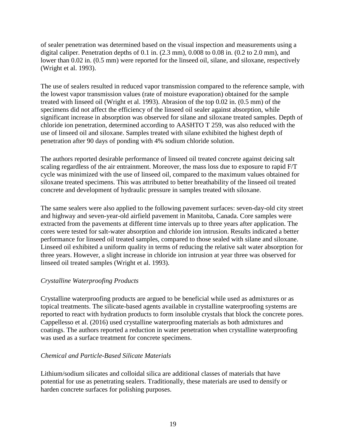of sealer penetration was determined based on the visual inspection and measurements using a digital caliper. Penetration depths of 0.1 in. (2.3 mm), 0.008 to 0.08 in. (0.2 to 2.0 mm), and lower than 0.02 in. (0.5 mm) were reported for the linseed oil, silane, and siloxane, respectively (Wright et al. 1993).

The use of sealers resulted in reduced vapor transmission compared to the reference sample, with the lowest vapor transmission values (rate of moisture evaporation) obtained for the sample treated with linseed oil (Wright et al. 1993). Abrasion of the top 0.02 in. (0.5 mm) of the specimens did not affect the efficiency of the linseed oil sealer against absorption, while significant increase in absorption was observed for silane and siloxane treated samples. Depth of chloride ion penetration, determined according to AASHTO T 259, was also reduced with the use of linseed oil and siloxane. Samples treated with silane exhibited the highest depth of penetration after 90 days of ponding with 4% sodium chloride solution.

The authors reported desirable performance of linseed oil treated concrete against deicing salt scaling regardless of the air entrainment. Moreover, the mass loss due to exposure to rapid F/T cycle was minimized with the use of linseed oil, compared to the maximum values obtained for siloxane treated specimens. This was attributed to better breathability of the linseed oil treated concrete and development of hydraulic pressure in samples treated with siloxane.

The same sealers were also applied to the following pavement surfaces: seven-day-old city street and highway and seven-year-old airfield pavement in Manitoba, Canada. Core samples were extracted from the pavements at different time intervals up to three years after application. The cores were tested for salt-water absorption and chloride ion intrusion. Results indicated a better performance for linseed oil treated samples, compared to those sealed with silane and siloxane. Linseed oil exhibited a uniform quality in terms of reducing the relative salt water absorption for three years. However, a slight increase in chloride ion intrusion at year three was observed for linseed oil treated samples (Wright et al. 1993).

# *Crystalline Waterproofing Products*

Crystalline waterproofing products are argued to be beneficial while used as admixtures or as topical treatments. The silicate-based agents available in crystalline waterproofing systems are reported to react with hydration products to form insoluble crystals that block the concrete pores. Cappellesso et al. (2016) used crystalline waterproofing materials as both admixtures and coatings. The authors reported a reduction in water penetration when crystalline waterproofing was used as a surface treatment for concrete specimens.

# *Chemical and Particle-Based Silicate Materials*

Lithium/sodium silicates and colloidal silica are additional classes of materials that have potential for use as penetrating sealers. Traditionally, these materials are used to densify or harden concrete surfaces for polishing purposes.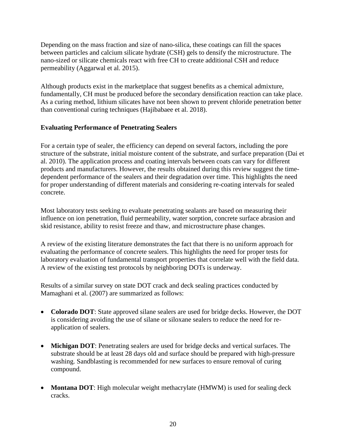Depending on the mass fraction and size of nano-silica, these coatings can fill the spaces between particles and calcium silicate hydrate (CSH) gels to densify the microstructure. The nano-sized or silicate chemicals react with free CH to create additional CSH and reduce permeability (Aggarwal et al. 2015).

Although products exist in the marketplace that suggest benefits as a chemical admixture, fundamentally, CH must be produced before the secondary densification reaction can take place. As a curing method, lithium silicates have not been shown to prevent chloride penetration better than conventional curing techniques (Hajibabaee et al. 2018).

# <span id="page-29-0"></span>**Evaluating Performance of Penetrating Sealers**

For a certain type of sealer, the efficiency can depend on several factors, including the pore structure of the substrate, initial moisture content of the substrate, and surface preparation (Dai et al. 2010). The application process and coating intervals between coats can vary for different products and manufacturers. However, the results obtained during this review suggest the timedependent performance of the sealers and their degradation over time. This highlights the need for proper understanding of different materials and considering re-coating intervals for sealed concrete.

Most laboratory tests seeking to evaluate penetrating sealants are based on measuring their influence on ion penetration, fluid permeability, water sorption, concrete surface abrasion and skid resistance, ability to resist freeze and thaw, and microstructure phase changes.

A review of the existing literature demonstrates the fact that there is no uniform approach for evaluating the performance of concrete sealers. This highlights the need for proper tests for laboratory evaluation of fundamental transport properties that correlate well with the field data. A review of the existing test protocols by neighboring DOTs is underway.

Results of a similar survey on state DOT crack and deck sealing practices conducted by Mamaghani et al. (2007) are summarized as follows:

- **Colorado DOT**: State approved silane sealers are used for bridge decks. However, the DOT is considering avoiding the use of silane or siloxane sealers to reduce the need for reapplication of sealers.
- **Michigan DOT**: Penetrating sealers are used for bridge decks and vertical surfaces. The substrate should be at least 28 days old and surface should be prepared with high-pressure washing. Sandblasting is recommended for new surfaces to ensure removal of curing compound.
- **Montana DOT**: High molecular weight methacrylate (HMWM) is used for sealing deck cracks.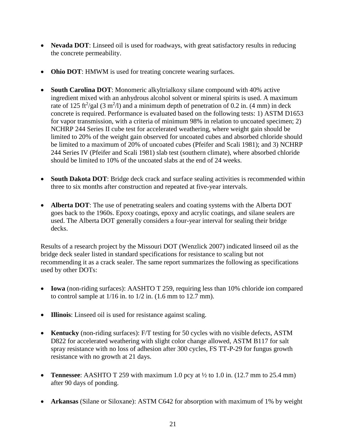- **Nevada DOT**: Linseed oil is used for roadways, with great satisfactory results in reducing the concrete permeability.
- **Ohio DOT**: HMWM is used for treating concrete wearing surfaces.
- **South Carolina DOT**: Monomeric alkyltrialkoxy silane compound with 40% active ingredient mixed with an anhydrous alcohol solvent or mineral spirits is used. A maximum rate of 125 ft<sup>2</sup>/gal (3 m<sup>2</sup>/l) and a minimum depth of penetration of 0.2 in. (4 mm) in deck concrete is required. Performance is evaluated based on the following tests: 1) ASTM D1653 for vapor transmission, with a criteria of minimum 98% in relation to uncoated specimen; 2) NCHRP 244 Series II cube test for accelerated weathering, where weight gain should be limited to 20% of the weight gain observed for uncoated cubes and absorbed chloride should be limited to a maximum of 20% of uncoated cubes (Pfeifer and Scali 1981); and 3) NCHRP 244 Series IV (Pfeifer and Scali 1981) slab test (southern climate), where absorbed chloride should be limited to 10% of the uncoated slabs at the end of 24 weeks.
- **South Dakota DOT**: Bridge deck crack and surface sealing activities is recommended within three to six months after construction and repeated at five-year intervals.
- **Alberta DOT**: The use of penetrating sealers and coating systems with the Alberta DOT goes back to the 1960s. Epoxy coatings, epoxy and acrylic coatings, and silane sealers are used. The Alberta DOT generally considers a four-year interval for sealing their bridge decks.

Results of a research project by the Missouri DOT (Wenzlick 2007) indicated linseed oil as the bridge deck sealer listed in standard specifications for resistance to scaling but not recommending it as a crack sealer. The same report summarizes the following as specifications used by other DOTs:

- **Iowa** (non-riding surfaces): AASHTO T 259, requiring less than 10% chloride ion compared to control sample at  $1/16$  in. to  $1/2$  in.  $(1.6$  mm to  $12.7$  mm).
- **Illinois**: Linseed oil is used for resistance against scaling.
- **Kentucky** (non-riding surfaces): F/T testing for 50 cycles with no visible defects, ASTM D822 for accelerated weathering with slight color change allowed, ASTM B117 for salt spray resistance with no loss of adhesion after 300 cycles, FS TT-P-29 for fungus growth resistance with no growth at 21 days.
- **Tennessee**: AASHTO T 259 with maximum 1.0 pcy at ½ to 1.0 in. (12.7 mm to 25.4 mm) after 90 days of ponding.
- **Arkansas** (Silane or Siloxane): ASTM C642 for absorption with maximum of 1% by weight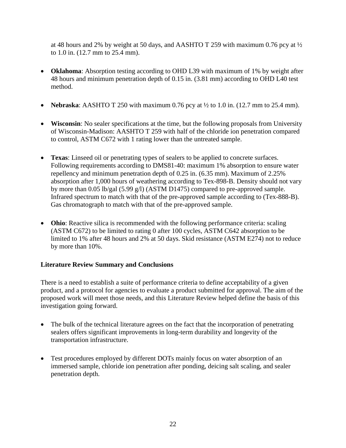at 48 hours and 2% by weight at 50 days, and AASHTO T 259 with maximum 0.76 pcy at ½ to 1.0 in. (12.7 mm to 25.4 mm).

- **Oklahoma**: Absorption testing according to OHD L39 with maximum of 1% by weight after 48 hours and minimum penetration depth of 0.15 in. (3.81 mm) according to OHD L40 test method.
- **Nebraska:** AASHTO T 250 with maximum 0.76 pcy at  $\frac{1}{2}$  to 1.0 in. (12.7 mm to 25.4 mm).
- **Wisconsin**: No sealer specifications at the time, but the following proposals from University of Wisconsin-Madison: AASHTO T 259 with half of the chloride ion penetration compared to control, ASTM C672 with 1 rating lower than the untreated sample.
- **Texas**: Linseed oil or penetrating types of sealers to be applied to concrete surfaces. Following requirements according to DMS81-40: maximum 1% absorption to ensure water repellency and minimum penetration depth of 0.25 in. (6.35 mm). Maximum of 2.25% absorption after 1,000 hours of weathering according to Tex-898-B. Density should not vary by more than 0.05 lb/gal (5.99 g/l) (ASTM D1475) compared to pre-approved sample. Infrared spectrum to match with that of the pre-approved sample according to (Tex-888-B). Gas chromatograph to match with that of the pre-approved sample.
- **Ohio**: Reactive silica is recommended with the following performance criteria: scaling (ASTM C672) to be limited to rating 0 after 100 cycles, ASTM C642 absorption to be limited to 1% after 48 hours and 2% at 50 days. Skid resistance (ASTM E274) not to reduce by more than 10%.

# <span id="page-31-0"></span>**Literature Review Summary and Conclusions**

There is a need to establish a suite of performance criteria to define acceptability of a given product, and a protocol for agencies to evaluate a product submitted for approval. The aim of the proposed work will meet those needs, and this Literature Review helped define the basis of this investigation going forward.

- The bulk of the technical literature agrees on the fact that the incorporation of penetrating sealers offers significant improvements in long-term durability and longevity of the transportation infrastructure.
- Test procedures employed by different DOTs mainly focus on water absorption of an immersed sample, chloride ion penetration after ponding, deicing salt scaling, and sealer penetration depth.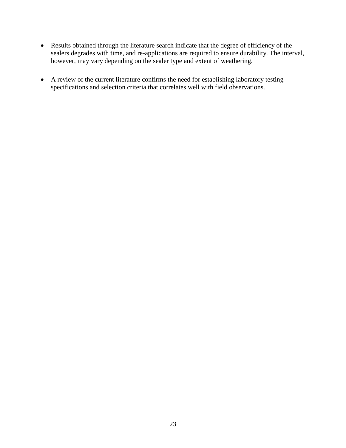- Results obtained through the literature search indicate that the degree of efficiency of the sealers degrades with time, and re-applications are required to ensure durability. The interval, however, may vary depending on the sealer type and extent of weathering.
- A review of the current literature confirms the need for establishing laboratory testing specifications and selection criteria that correlates well with field observations.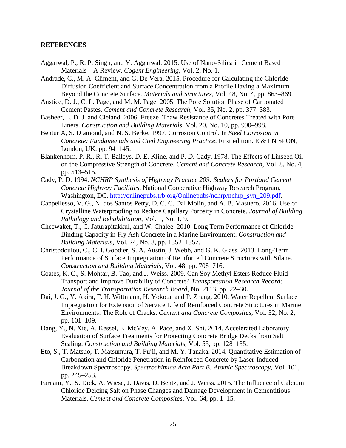#### <span id="page-34-0"></span>**REFERENCES**

- Aggarwal, P., R. P. Singh, and Y. Aggarwal. 2015. Use of Nano-Silica in Cement Based Materials—A Review. *Cogent Engineering*, Vol. 2, No. 1.
- Andrade, C., M. A. Climent, and G. De Vera. 2015. Procedure for Calculating the Chloride Diffusion Coefficient and Surface Concentration from a Profile Having a Maximum Beyond the Concrete Surface. *Materials and Structures*, Vol. 48, No. 4, pp. 863–869.
- Anstice, D. J., C. L. Page, and M. M. Page. 2005. The Pore Solution Phase of Carbonated Cement Pastes. *Cement and Concrete Research*, Vol. 35, No. 2, pp. 377–383.
- Basheer, L. D. J. and Cleland. 2006. Freeze–Thaw Resistance of Concretes Treated with Pore Liners. *Construction and Building Materials*, Vol. 20, No. 10, pp. 990–998.
- Bentur A, S. Diamond, and N. S. Berke. 1997. Corrosion Control. In *Steel Corrosion in Concrete: Fundamentals and Civil Engineering Practice*. First edition. E & FN SPON, London, UK. pp. 94–145.
- Blankenhorn, P. R., R. T. Baileys, D. E. Kline, and P. D. Cady. 1978. The Effects of Linseed Oil on the Compressive Strength of Concrete. *Cement and Concrete Research*, Vol. 8, No. 4, pp. 513–515.
- Cady, P. D. 1994. *NCHRP Synthesis of Highway Practice 209: Sealers for Portland Cement Concrete Highway Facilities*. National Cooperative Highway Research Program, Washington, DC. [http://onlinepubs.trb.org/Onlinepubs/nchrp/nchrp\\_syn\\_209.pdf.](http://onlinepubs.trb.org/Onlinepubs/nchrp/nchrp_syn_209.pdf)
- Cappellesso, V. G., N. dos Santos Petry, D. C. C. Dal Molin, and A. B. Masuero. 2016. Use of Crystalline Waterproofing to Reduce Capillary Porosity in Concrete. *Journal of Building Pathology and Rehabilitation*, Vol. 1, No. 1, 9.
- Cheewaket, T., C. Jaturapitakkul, and W. Chalee. 2010. Long Term Performance of Chloride Binding Capacity in Fly Ash Concrete in a Marine Environment. *Construction and Building Materials*, Vol. 24, No. 8, pp. 1352–1357.
- Christodoulou, C., C. I. Goodier, S. A. Austin, J. Webb, and G. K. Glass. 2013. Long-Term Performance of Surface Impregnation of Reinforced Concrete Structures with Silane. *Construction and Building Materials*, Vol. 48, pp. 708–716.
- Coates, K. C., S. Mohtar, B. Tao, and J. Weiss. 2009. Can Soy Methyl Esters Reduce Fluid Transport and Improve Durability of Concrete? *Transportation Research Record: Journal of the Transportation Research Board*, No. 2113, pp. 22–30.
- Dai, J. G., Y. Akira, F. H. Wittmann, H, Yokota, and P. Zhang. 2010. Water Repellent Surface Impregnation for Extension of Service Life of Reinforced Concrete Structures in Marine Environments: The Role of Cracks. *Cement and Concrete Composites*, Vol. 32, No. 2, pp. 101–109.
- Dang, Y., N. Xie, A. Kessel, E. McVey, A. Pace, and X. Shi. 2014. Accelerated Laboratory Evaluation of Surface Treatments for Protecting Concrete Bridge Decks from Salt Scaling. *Construction and Building Materials*, Vol. 55, pp. 128–135.
- Eto, S., T. Matsuo, T. Matsumura, T. Fujii, and M. Y. Tanaka. 2014. Quantitative Estimation of Carbonation and Chloride Penetration in Reinforced Concrete by Laser-Induced Breakdown Spectroscopy. *Spectrochimica Acta Part B: Atomic Spectroscopy*, Vol. 101, pp. 245–253.
- Farnam, Y., S. Dick, A. Wiese, J. Davis, D. Bentz, and J. Weiss. 2015. The Influence of Calcium Chloride Deicing Salt on Phase Changes and Damage Development in Cementitious Materials. *Cement and Concrete Composites*, Vol. 64, pp. 1–15.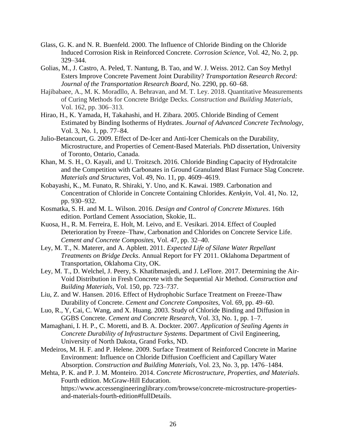- Glass, G. K. and N. R. Buenfeld. 2000. The Influence of Chloride Binding on the Chloride Induced Corrosion Risk in Reinforced Concrete. *Corrosion Science*, Vol. 42, No. 2, pp. 329–344.
- Golias, M., J. Castro, A. Peled, T. Nantung, B. Tao, and W. J. Weiss. 2012. Can Soy Methyl Esters Improve Concrete Pavement Joint Durability? *Transportation Research Record: Journal of the Transportation Research Board*, No. 2290, pp. 60–68.
- Hajibabaee, A., M. K. Moradllo, A. Behravan, and M. T. Ley. 2018. Quantitative Measurements of Curing Methods for Concrete Bridge Decks. *Construction and Building Materials*, Vol. 162, pp. 306–313.
- Hirao, H., K. Yamada, H, Takahashi, and H. Zibara. 2005. Chloride Binding of Cement Estimated by Binding Isotherms of Hydrates. *Journal of Advanced Concrete Technology*, Vol. 3, No. 1, pp. 77–84.
- Julio-Betancourt, G. 2009. Effect of De-Icer and Anti-Icer Chemicals on the Durability, Microstructure, and Properties of Cement-Based Materials. PhD dissertation, University of Toronto, Ontario, Canada.
- Khan, M. S. H., O. Kayali, and U. Troitzsch. 2016. Chloride Binding Capacity of Hydrotalcite and the Competition with Carbonates in Ground Granulated Blast Furnace Slag Concrete. *Materials and Structures*, Vol. 49, No. 11, pp. 4609–4619.
- Kobayashi, K., M. Funato, R. Shiraki, Y. Uno, and K. Kawai. 1989. Carbonation and Concentration of Chloride in Concrete Containing Chlorides. *Kenkyin*, Vol. 41, No. 12, pp. 930–932.
- Kosmatka, S. H. and M. L. Wilson. 2016. *Design and Control of Concrete Mixtures*. 16th edition. Portland Cement Association, Skokie, IL.
- Kuosa, H., R. M. Ferreira, E. Holt, M. Leivo, and E. Vesikari. 2014. Effect of Coupled Deterioration by Freeze–Thaw, Carbonation and Chlorides on Concrete Service Life. *Cement and Concrete Composites*, Vol. 47, pp. 32–40.
- Ley, M. T., N. Materer, and A. Apblett. 2011. *Expected Life of Silane Water Repellant Treatments on Bridge Decks*. Annual Report for FY 2011. Oklahoma Department of Transportation, Oklahoma City, OK.
- Ley, M. T., D. Welchel, J. Peery, S. Khatibmasjedi, and J. LeFlore. 2017. Determining the Air-Void Distribution in Fresh Concrete with the Sequential Air Method. *Construction and Building Materials*, Vol. 150, pp. 723–737.
- Liu, Z. and W. Hansen. 2016. Effect of Hydrophobic Surface Treatment on Freeze-Thaw Durability of Concrete. *Cement and Concrete Composites*, Vol. 69, pp. 49–60.
- Luo, R., Y, Cai, C. Wang, and X. Huang. 2003. Study of Chloride Binding and Diffusion in GGBS Concrete. *Cement and Concrete Research*, Vol. 33, No. 1, pp. 1–7.
- Mamaghani, I. H. P., C. Moretti, and B. A. Dockter. 2007. *Application of Sealing Agents in Concrete Durability of Infrastructure Systems*. Department of Civil Engineering, University of North Dakota, Grand Forks, ND.
- Medeiros, M. H. F. and P. Helene. 2009. Surface Treatment of Reinforced Concrete in Marine Environment: Influence on Chloride Diffusion Coefficient and Capillary Water Absorption. *Construction and Building Materials*, Vol. 23, No. 3, pp. 1476–1484.
- Mehta, P. K. and P. J. M. Monteiro. 2014. *Concrete Microstructure, Properties, and Materials*. Fourth edition. McGraw-Hill Education. https://www.accessengineeringlibrary.com/browse/concrete-microstructure-propertiesand-materials-fourth-edition#fullDetails.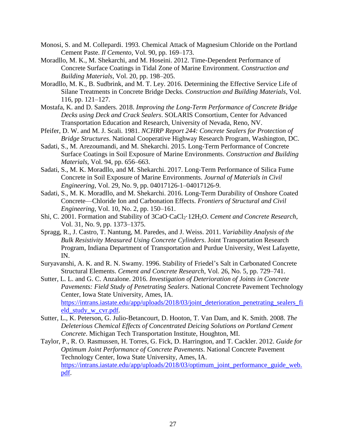- Monosi, S. and M. Collepardi. 1993. Chemical Attack of Magnesium Chloride on the Portland Cement Paste. *Il Cemento*, Vol. 90, pp. 169–173.
- Moradllo, M. K., M. Shekarchi, and M. Hoseini. 2012. Time-Dependent Performance of Concrete Surface Coatings in Tidal Zone of Marine Environment. *Construction and Building Materials*, Vol. 20, pp. 198–205.
- Moradllo, M. K., B. Sudbrink, and M. T. Ley. 2016. Determining the Effective Service Life of Silane Treatments in Concrete Bridge Decks. *Construction and Building Materials*, Vol. 116, pp. 121–127.
- Mostafa, K. and D. Sanders. 2018. *Improving the Long-Term Performance of Concrete Bridge Decks using Deck and Crack Sealers*. SOLARIS Consortium, Center for Advanced Transportation Education and Research, University of Nevada, Reno, NV.
- Pfeifer, D. W. and M. J. Scali. 1981. *NCHRP Report 244: Concrete Sealers for Protection of Bridge Structures*. National Cooperative Highway Research Program, Washington, DC.
- Sadati, S., M. Arezoumandi, and M. Shekarchi. 2015. Long-Term Performance of Concrete Surface Coatings in Soil Exposure of Marine Environments. *Construction and Building Materials*, Vol. 94, pp. 656–663.
- Sadati, S., M. K. Moradllo, and M. Shekarchi. 2017. Long-Term Performance of Silica Fume Concrete in Soil Exposure of Marine Environments. *Journal of Materials in Civil Engineering*, Vol. 29, No. 9, pp. 04017126-1–04017126-9.
- Sadati, S., M. K. Moradllo, and M. Shekarchi. 2016. Long-Term Durability of Onshore Coated Concrete—Chloride Ion and Carbonation Effects. *Frontiers of Structural and Civil Engineering*, Vol. 10, No. 2, pp. 150–161.
- Shi, C. 2001. Formation and Stability of 3CaO·CaCl<sub>2</sub>·12H<sub>2</sub>O. *Cement and Concrete Research*, Vol. 31, No. 9, pp. 1373–1375.
- Spragg, R., J. Castro, T. Nantung, M. Paredes, and J. Weiss. 2011. *Variability Analysis of the Bulk Resistivity Measured Using Concrete Cylinders*. Joint Transportation Research Program, Indiana Department of Transportation and Purdue University, West Lafayette, IN.
- Suryavanshi, A. K. and R. N. Swamy. 1996. Stability of Friedel's Salt in Carbonated Concrete Structural Elements. *Cement and Concrete Research*, Vol. 26, No. 5, pp. 729–741.
- Sutter, L. L. and G. C. Anzalone. 2016. *Investigation of Deterioration of Joints in Concrete Pavements: Field Study of Penetrating Sealers*. National Concrete Pavement Technology Center, Iowa State University, Ames, IA. https://intrans.iastate.edu/app/uploads/2018/03/joint deterioration penetrating sealers fi [eld\\_study\\_w\\_cvr.pdf.](https://intrans.iastate.edu/app/uploads/2018/03/joint_deterioration_penetrating_sealers_field_study_w_cvr.pdf)
- Sutter, L., K. Peterson, G. Julio-Betancourt, D. Hooton, T. Van Dam, and K. Smith. 2008. *The Deleterious Chemical Effects of Concentrated Deicing Solutions on Portland Cement Concrete*. Michigan Tech Transportation Institute, Houghton, MI.
- Taylor, P., R. O. Rasmussen, H. Torres, G. Fick, D. Harrington, and T. Cackler. 2012. *Guide for Optimum Joint Performance of Concrete Pavements*. National Concrete Pavement Technology Center, Iowa State University, Ames, IA. [https://intrans.iastate.edu/app/uploads/2018/03/optimum\\_joint\\_performance\\_guide\\_web.](https://intrans.iastate.edu/app/uploads/2018/03/optimum_joint_performance_guide_web.pdf) [pdf.](https://intrans.iastate.edu/app/uploads/2018/03/optimum_joint_performance_guide_web.pdf)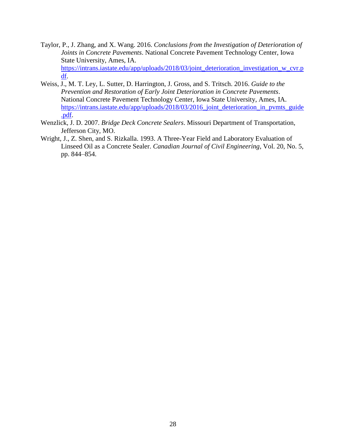- Taylor, P., J. Zhang, and X. Wang. 2016. *Conclusions from the Investigation of Deterioration of Joints in Concrete Pavements*. National Concrete Pavement Technology Center, Iowa State University, Ames, IA. [https://intrans.iastate.edu/app/uploads/2018/03/joint\\_deterioration\\_investigation\\_w\\_cvr.p](https://intrans.iastate.edu/app/uploads/2018/03/joint_deterioration_investigation_w_cvr.pdf) [df.](https://intrans.iastate.edu/app/uploads/2018/03/joint_deterioration_investigation_w_cvr.pdf)
- Weiss, J., M. T. Ley, L. Sutter, D. Harrington, J. Gross, and S. Tritsch. 2016. *Guide to the Prevention and Restoration of Early Joint Deterioration in Concrete Pavements*. National Concrete Pavement Technology Center, Iowa State University, Ames, IA. [https://intrans.iastate.edu/app/uploads/2018/03/2016\\_joint\\_deterioration\\_in\\_pvmts\\_guide](https://intrans.iastate.edu/app/uploads/2018/03/2016_joint_deterioration_in_pvmts_guide.pdf) [.pdf.](https://intrans.iastate.edu/app/uploads/2018/03/2016_joint_deterioration_in_pvmts_guide.pdf)
- Wenzlick, J. D. 2007. *Bridge Deck Concrete Sealers*. Missouri Department of Transportation, Jefferson City, MO.
- Wright, J., Z. Shen, and S. Rizkalla. 1993. A Three-Year Field and Laboratory Evaluation of Linseed Oil as a Concrete Sealer. *Canadian Journal of Civil Engineering*, Vol. 20, No. 5, pp. 844–854.